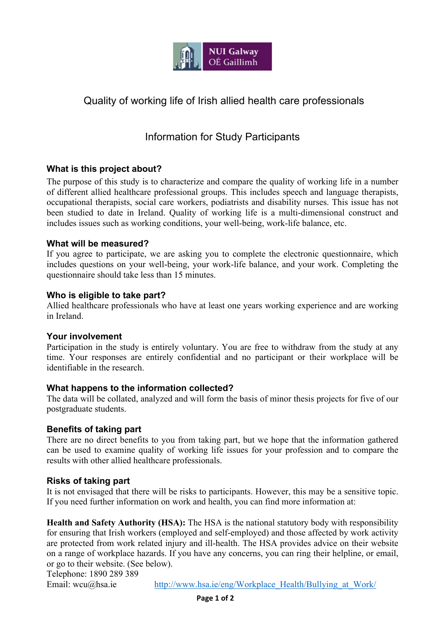

# Quality of working life of Irish allied health care professionals

## Information for Study Participants

### **What is this project about?**

The purpose of this study is to characterize and compare the quality of working life in a number of different allied healthcare professional groups. This includes speech and language therapists, occupational therapists, social care workers, podiatrists and disability nurses. This issue has not been studied to date in Ireland. Quality of working life is a multi-dimensional construct and includes issues such as working conditions, your well-being, work-life balance, etc.

#### **What will be measured?**

If you agree to participate, we are asking you to complete the electronic questionnaire, which includes questions on your well-being, your work-life balance, and your work. Completing the questionnaire should take less than 15 minutes.

#### **Who is eligible to take part?**

Allied healthcare professionals who have at least one years working experience and are working in Ireland.

#### **Your involvement**

Participation in the study is entirely voluntary. You are free to withdraw from the study at any time. Your responses are entirely confidential and no participant or their workplace will be identifiable in the research.

#### **What happens to the information collected?**

The data will be collated, analyzed and will form the basis of minor thesis projects for five of our postgraduate students.

#### **Benefits of taking part**

There are no direct benefits to you from taking part, but we hope that the information gathered can be used to examine quality of working life issues for your profession and to compare the results with other allied healthcare professionals.

#### **Risks of taking part**

It is not envisaged that there will be risks to participants. However, this may be a sensitive topic. If you need further information on work and health, you can find more information at:

**Health and Safety Authority (HSA):** The HSA is the national statutory body with responsibility for ensuring that Irish workers (employed and self-employed) and those affected by work activity are protected from work related injury and ill-health. The HSA provides advice on their website on a range of workplace hazards. If you have any concerns, you can ring their helpline, or email, or go to their website. (See below).

Telephone: 1890 289 389

Email: wcu@hsa.ie http://www.hsa.ie/eng/Workplace\_Health/Bullying\_at\_Work/